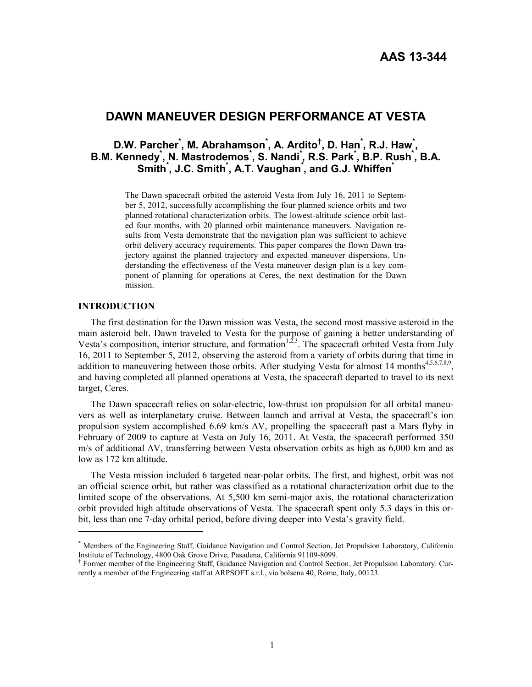# **DAWN MANEUVER DESIGN PERFORMANCE AT VESTA**

# **D.W. Parcher\* , M. Abrahamson\* , A. Ardito† , D. Han\* , R.J. Haw\* , B.M. Kennedy\* , N. Mastrodemos\* , S. Nandi\* , R.S. Park\* , B.P. Rush\* , B.A. Smith\* , J.C. Smith\* , A.T. Vaughan\* , and G.J. Whiffen\***

The Dawn spacecraft orbited the asteroid Vesta from July 16, 2011 to September 5, 2012, successfully accomplishing the four planned science orbits and two planned rotational characterization orbits. The lowest-altitude science orbit lasted four months, with 20 planned orbit maintenance maneuvers. Navigation results from Vesta demonstrate that the navigation plan was sufficient to achieve orbit delivery accuracy requirements. This paper compares the flown Dawn trajectory against the planned trajectory and expected maneuver dispersions. Understanding the effectiveness of the Vesta maneuver design plan is a key component of planning for operations at Ceres, the next destination for the Dawn mission.

### **INTRODUCTION**

 $\overline{a}$ 

The first destination for the Dawn mission was Vesta, the second most massive asteroid in the main asteroid belt. Dawn traveled to Vesta for the purpose of gaining a better understanding of Vesta's composition, interior structure, and formation<sup>1,2,3</sup>. The spacecraft orbited Vesta from July 16, 2011 to September 5, 2012, observing the asteroid from a variety of orbits during that time in addition to maneuvering between those orbits. After studying Vesta for almost 14 months<sup>4,5,6,7,8,9</sup>, and having completed all planned operations at Vesta, the spacecraft departed to travel to its next target, Ceres.

The Dawn spacecraft relies on solar-electric, low-thrust ion propulsion for all orbital maneuvers as well as interplanetary cruise. Between launch and arrival at Vesta, the spacecraft's ion propulsion system accomplished 6.69 km/s  $\Delta V$ , propelling the spacecraft past a Mars flyby in February of 2009 to capture at Vesta on July 16, 2011. At Vesta, the spacecraft performed 350 m/s of additional ∆V, transferring between Vesta observation orbits as high as 6,000 km and as low as 172 km altitude.

The Vesta mission included 6 targeted near-polar orbits. The first, and highest, orbit was not an official science orbit, but rather was classified as a rotational characterization orbit due to the limited scope of the observations. At 5,500 km semi-major axis, the rotational characterization orbit provided high altitude observations of Vesta. The spacecraft spent only 5.3 days in this orbit, less than one 7-day orbital period, before diving deeper into Vesta's gravity field.

<sup>\*</sup> Members of the Engineering Staff, Guidance Navigation and Control Section, Jet Propulsion Laboratory, California Institute of Technology, 4800 Oak Grove Drive, Pasadena, California 91109-8099.

<sup>†</sup> Former member of the Engineering Staff, Guidance Navigation and Control Section, Jet Propulsion Laboratory. Currently a member of the Engineering staff at ARPSOFT s.r.l., via bolsena 40, Rome, Italy, 00123.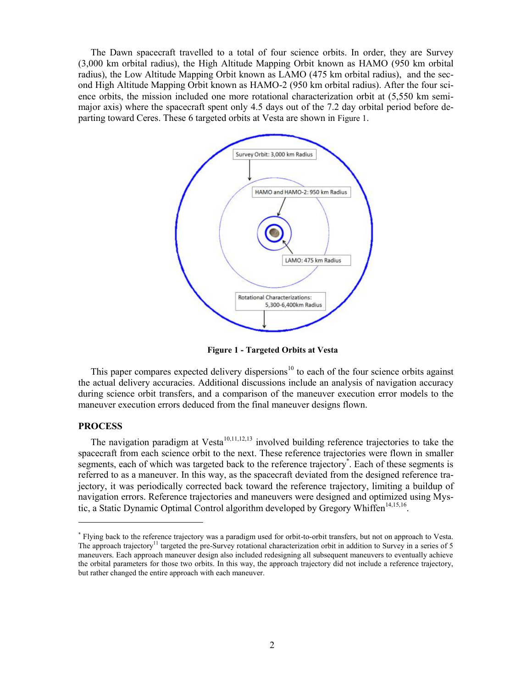The Dawn spacecraft travelled to a total of four science orbits. In order, they are Survey (3,000 km orbital radius), the High Altitude Mapping Orbit known as HAMO (950 km orbital radius), the Low Altitude Mapping Orbit known as LAMO (475 km orbital radius), and the second High Altitude Mapping Orbit known as HAMO-2 (950 km orbital radius). After the four science orbits, the mission included one more rotational characterization orbit at (5,550 km semimajor axis) where the spacecraft spent only 4.5 days out of the 7.2 day orbital period before departing toward Ceres. These 6 targeted orbits at Vesta are shown in [Figure 1](#page-1-0).



**Figure 1 - Targeted Orbits at Vesta**

<span id="page-1-0"></span>This paper compares expected delivery dispersions<sup>10</sup> to each of the four science orbits against the actual delivery accuracies. Additional discussions include an analysis of navigation accuracy during science orbit transfers, and a comparison of the maneuver execution error models to the maneuver execution errors deduced from the final maneuver designs flown.

#### **PROCESS**

 $\overline{a}$ 

The navigation paradigm at Vesta<sup>10,11,12,13</sup> involved building reference trajectories to take the spacecraft from each science orbit to the next. These reference trajectories were flown in smaller segments, each of which was targeted back to the reference trajectory<sup>\*</sup>. Each of these segments is referred to as a maneuver. In this way, as the spacecraft deviated from the designed reference trajectory, it was periodically corrected back toward the reference trajectory, limiting a buildup of navigation errors. Reference trajectories and maneuvers were designed and optimized using Mystic, a Static Dynamic Optimal Control algorithm developed by Gregory Whiffen<sup>14,15,16</sup>.

<sup>\*</sup> Flying back to the reference trajectory was a paradigm used for orbit-to-orbit transfers, but not on approach to Vesta. The approach trajectory<sup>11</sup> targeted the pre-Survey rotational characterization orbit in addition to Survey in a series of 5 maneuvers. Each approach maneuver design also included redesigning all subsequent maneuvers to eventually achieve the orbital parameters for those two orbits. In this way, the approach trajectory did not include a reference trajectory, but rather changed the entire approach with each maneuver.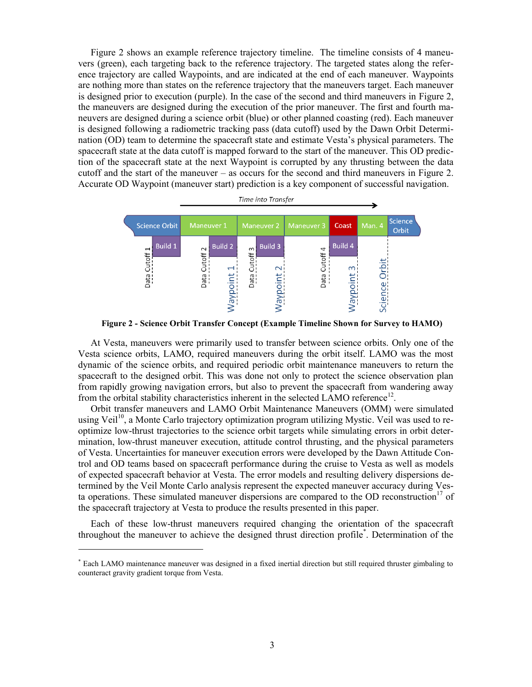[Figure 2](#page-2-0) shows an example reference trajectory timeline. The timeline consists of 4 maneuvers (green), each targeting back to the reference trajectory. The targeted states along the reference trajectory are called Waypoints, and are indicated at the end of each maneuver. Waypoints are nothing more than states on the reference trajectory that the maneuvers target. Each maneuver is designed prior to execution (purple). In the case of the second and third maneuvers in [Figure 2,](#page-2-0) the maneuvers are designed during the execution of the prior maneuver. The first and fourth maneuvers are designed during a science orbit (blue) or other planned coasting (red). Each maneuver is designed following a radiometric tracking pass (data cutoff) used by the Dawn Orbit Determination (OD) team to determine the spacecraft state and estimate Vesta's physical parameters. The spacecraft state at the data cutoff is mapped forward to the start of the maneuver. This OD prediction of the spacecraft state at the next Waypoint is corrupted by any thrusting between the data cutoff and the start of the maneuver – as occurs for the second and third maneuvers in [Figure 2.](#page-2-0) Accurate OD Waypoint (maneuver start) prediction is a key component of successful navigation.



**Figure 2 - Science Orbit Transfer Concept (Example Timeline Shown for Survey to HAMO)** 

<span id="page-2-0"></span>At Vesta, maneuvers were primarily used to transfer between science orbits. Only one of the Vesta science orbits, LAMO, required maneuvers during the orbit itself. LAMO was the most dynamic of the science orbits, and required periodic orbit maintenance maneuvers to return the spacecraft to the designed orbit. This was done not only to protect the science observation plan from rapidly growing navigation errors, but also to prevent the spacecraft from wandering away from the orbital stability characteristics inherent in the selected LAMO reference<sup>12</sup>.

Orbit transfer maneuvers and LAMO Orbit Maintenance Maneuvers (OMM) were simulated using Veil<sup>10</sup>, a Monte Carlo trajectory optimization program utilizing Mystic. Veil was used to reoptimize low-thrust trajectories to the science orbit targets while simulating errors in orbit determination, low-thrust maneuver execution, attitude control thrusting, and the physical parameters of Vesta. Uncertainties for maneuver execution errors were developed by the Dawn Attitude Control and OD teams based on spacecraft performance during the cruise to Vesta as well as models of expected spacecraft behavior at Vesta. The error models and resulting delivery dispersions determined by the Veil Monte Carlo analysis represent the expected maneuver accuracy during Vesta operations. These simulated maneuver dispersions are compared to the OD reconstruction<sup>17</sup> of the spacecraft trajectory at Vesta to produce the results presented in this paper.

Each of these low-thrust maneuvers required changing the orientation of the spacecraft throughout the maneuver to achieve the designed thrust direction profile\* . Determination of the

<sup>\*</sup> Each LAMO maintenance maneuver was designed in a fixed inertial direction but still required thruster gimbaling to counteract gravity gradient torque from Vesta.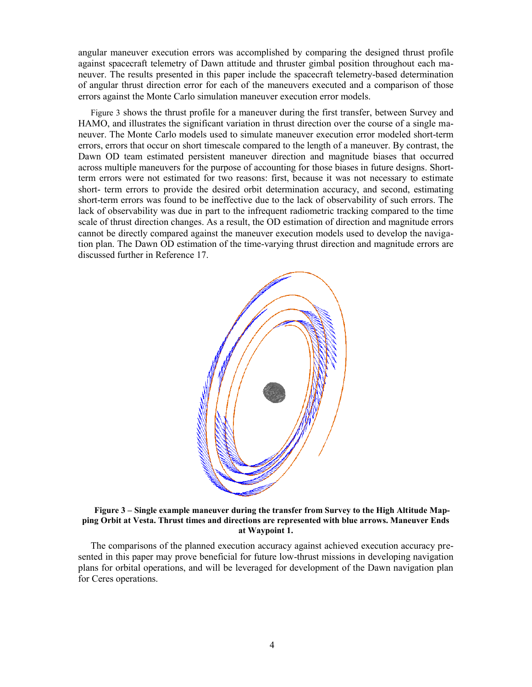angular maneuver execution errors was accomplished by comparing the designed thrust profile against spacecraft telemetry of Dawn attitude and thruster gimbal position throughout each maneuver. The results presented in this paper include the spacecraft telemetry-based determination of angular thrust direction error for each of the maneuvers executed and a comparison of those errors against the Monte Carlo simulation maneuver execution error models.

[Figure 3](#page-3-0) shows the thrust profile for a maneuver during the first transfer, between Survey and HAMO, and illustrates the significant variation in thrust direction over the course of a single maneuver. The Monte Carlo models used to simulate maneuver execution error modeled short-term errors, errors that occur on short timescale compared to the length of a maneuver. By contrast, the Dawn OD team estimated persistent maneuver direction and magnitude biases that occurred across multiple maneuvers for the purpose of accounting for those biases in future designs. Shortterm errors were not estimated for two reasons: first, because it was not necessary to estimate short- term errors to provide the desired orbit determination accuracy, and second, estimating short-term errors was found to be ineffective due to the lack of observability of such errors. The lack of observability was due in part to the infrequent radiometric tracking compared to the time scale of thrust direction changes. As a result, the OD estimation of direction and magnitude errors cannot be directly compared against the maneuver execution models used to develop the navigation plan. The Dawn OD estimation of the time-varying thrust direction and magnitude errors are discussed further in Reference 17.



## <span id="page-3-0"></span>**Figure 3 – Single example maneuver during the transfer from Survey to the High Altitude Mapping Orbit at Vesta. Thrust times and directions are represented with blue arrows. Maneuver Ends at Waypoint 1.**

The comparisons of the planned execution accuracy against achieved execution accuracy presented in this paper may prove beneficial for future low-thrust missions in developing navigation plans for orbital operations, and will be leveraged for development of the Dawn navigation plan for Ceres operations.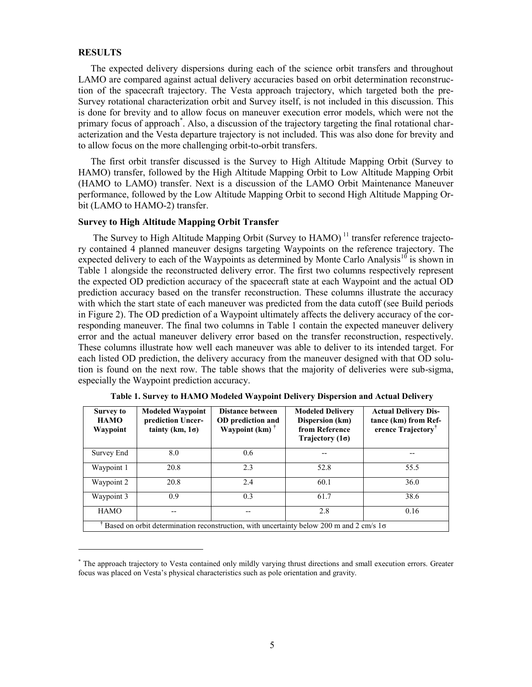# **RESULTS**

 $\overline{a}$ 

The expected delivery dispersions during each of the science orbit transfers and throughout LAMO are compared against actual delivery accuracies based on orbit determination reconstruction of the spacecraft trajectory. The Vesta approach trajectory, which targeted both the pre-Survey rotational characterization orbit and Survey itself, is not included in this discussion. This is done for brevity and to allow focus on maneuver execution error models, which were not the primary focus of approach<sup>\*</sup>. Also, a discussion of the trajectory targeting the final rotational characterization and the Vesta departure trajectory is not included. This was also done for brevity and to allow focus on the more challenging orbit-to-orbit transfers.

The first orbit transfer discussed is the Survey to High Altitude Mapping Orbit (Survey to HAMO) transfer, followed by the High Altitude Mapping Orbit to Low Altitude Mapping Orbit (HAMO to LAMO) transfer. Next is a discussion of the LAMO Orbit Maintenance Maneuver performance, followed by the Low Altitude Mapping Orbit to second High Altitude Mapping Orbit (LAMO to HAMO-2) transfer.

# **Survey to High Altitude Mapping Orbit Transfer**

The Survey to High Altitude Mapping Orbit (Survey to  $HAMO$ )<sup>11</sup> transfer reference trajectory contained 4 planned maneuver designs targeting Waypoints on the reference trajectory. The expected delivery to each of the Waypoints as determined by Monte Carlo Analysis<sup>10</sup> is shown in [Table 1](#page-4-0) alongside the reconstructed delivery error. The first two columns respectively represent the expected OD prediction accuracy of the spacecraft state at each Waypoint and the actual OD prediction accuracy based on the transfer reconstruction. These columns illustrate the accuracy with which the start state of each maneuver was predicted from the data cutoff (see Build periods in Figure 2). The OD prediction of a Waypoint ultimately affects the delivery accuracy of the corresponding maneuver. The final two columns in [Table 1](#page-4-0) contain the expected maneuver delivery error and the actual maneuver delivery error based on the transfer reconstruction, respectively. These columns illustrate how well each maneuver was able to deliver to its intended target. For each listed OD prediction, the delivery accuracy from the maneuver designed with that OD solution is found on the next row. The table shows that the majority of deliveries were sub-sigma, especially the Waypoint prediction accuracy.

<span id="page-4-0"></span>

| <b>Survey to</b><br><b>HAMO</b><br>Waypoint                                                    | <b>Modeled Waypoint</b><br>prediction Uncer-<br>tainty (km, $1\sigma$ ) | <b>Distance between</b><br>OD prediction and<br>Waypoint $(km)$ <sup>†</sup> | <b>Modeled Delivery</b><br>Dispersion (km)<br>from Reference<br>Trajectory $(1\sigma)$ | <b>Actual Delivery Dis-</b><br>tance (km) from Ref-<br>erence Trajectory <sup>†</sup> |
|------------------------------------------------------------------------------------------------|-------------------------------------------------------------------------|------------------------------------------------------------------------------|----------------------------------------------------------------------------------------|---------------------------------------------------------------------------------------|
| Survey End                                                                                     | 8.0                                                                     | 0.6                                                                          | --                                                                                     |                                                                                       |
| Waypoint 1                                                                                     | 20.8                                                                    | 2.3                                                                          | 52.8                                                                                   | 55.5                                                                                  |
| Waypoint 2                                                                                     | 20.8                                                                    | 2.4                                                                          | 60.1                                                                                   | 36.0                                                                                  |
| Waypoint 3                                                                                     | 0.9                                                                     | 0.3                                                                          | 61.7                                                                                   | 38.6                                                                                  |
| <b>HAMO</b>                                                                                    |                                                                         |                                                                              | 2.8                                                                                    | 0.16                                                                                  |
| Based on orbit determination reconstruction, with uncertainty below 200 m and 2 cm/s $1\sigma$ |                                                                         |                                                                              |                                                                                        |                                                                                       |

**Table 1. Survey to HAMO Modeled Waypoint Delivery Dispersion and Actual Delivery** 

<sup>\*</sup> The approach trajectory to Vesta contained only mildly varying thrust directions and small execution errors. Greater focus was placed on Vesta's physical characteristics such as pole orientation and gravity.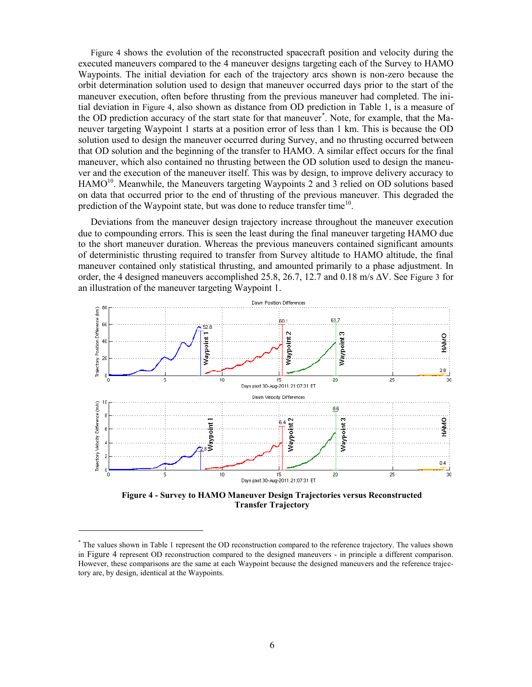[Figure 4](#page-5-0) shows the evolution of the reconstructed spacecraft position and velocity during the executed maneuvers compared to the 4 maneuver designs targeting each of the Survey to HAMO Waypoints. The initial deviation for each of the trajectory arcs shown is non-zero because the orbit determination solution used to design that maneuver occurred days prior to the start of the maneuver execution, often before thrusting from the previous maneuver had completed. The initial deviation in [Figure 4](#page-5-0), also shown as distance from OD prediction in [Table 1,](#page-4-0) is a measure of the OD prediction accuracy of the start state for that maneuver<sup>\*</sup>. Note, for example, that the Maneuver targeting Waypoint 1 starts at a position error of less than 1 km. This is because the OD solution used to design the maneuver occurred during Survey, and no thrusting occurred between that OD solution and the beginning of the transfer to HAMO. A similar effect occurs for the final maneuver, which also contained no thrusting between the OD solution used to design the maneuver and the execution of the maneuver itself. This was by design, to improve delivery accuracy to HAMO<sup>10</sup>. Meanwhile, the Maneuvers targeting Waypoints 2 and 3 relied on OD solutions based on data that occurred prior to the end of thrusting of the previous maneuver. This degraded the prediction of the Waypoint state, but was done to reduce transfer time<sup>10</sup>.

Deviations from the maneuver design trajectory increase throughout the maneuver execution due to compounding errors. This is seen the least during the final maneuver targeting HAMO due to the short maneuver duration. Whereas the previous maneuvers contained significant amounts of deterministic thrusting required to transfer from Survey altitude to HAMO altitude, the final maneuver contained only statistical thrusting, and amounted primarily to a phase adjustment. In order, the 4 designed maneuvers accomplished 25.8, 26.7, 12.7 and 0.18 m/s  $\Delta V$ . See [Figure 3](#page-3-0) for an illustration of the maneuver targeting Waypoint 1.



<span id="page-5-0"></span>**Figure 4 - Survey to HAMO Maneuver Design Trajectories versus Reconstructed Transfer Trajectory** 

<sup>\*</sup> The values shown in Table 1 represent the OD reconstruction compared to the reference trajectory. The values shown in [Figure 4](#page-5-0) represent OD reconstruction compared to the designed maneuvers - in principle a different comparison. However, these comparisons are the same at each Waypoint because the designed maneuvers and the reference trajectory are, by design, identical at the Waypoints.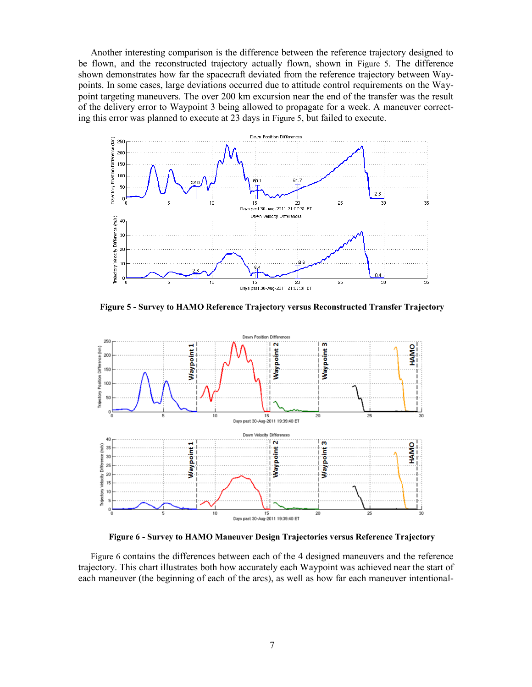Another interesting comparison is the difference between the reference trajectory designed to be flown, and the reconstructed trajectory actually flown, shown in [Figure 5](#page-6-0). The difference shown demonstrates how far the spacecraft deviated from the reference trajectory between Waypoints. In some cases, large deviations occurred due to attitude control requirements on the Waypoint targeting maneuvers. The over 200 km excursion near the end of the transfer was the result of the delivery error to Waypoint 3 being allowed to propagate for a week. A maneuver correcting this error was planned to execute at 23 days in [Figure 5](#page-6-0), but failed to execute.



<span id="page-6-0"></span>**Figure 5 - Survey to HAMO Reference Trajectory versus Reconstructed Transfer Trajectory** 



**Figure 6 - Survey to HAMO Maneuver Design Trajectories versus Reference Trajectory** 

<span id="page-6-1"></span>[Figure 6](#page-6-1) contains the differences between each of the 4 designed maneuvers and the reference trajectory. This chart illustrates both how accurately each Waypoint was achieved near the start of each maneuver (the beginning of each of the arcs), as well as how far each maneuver intentional-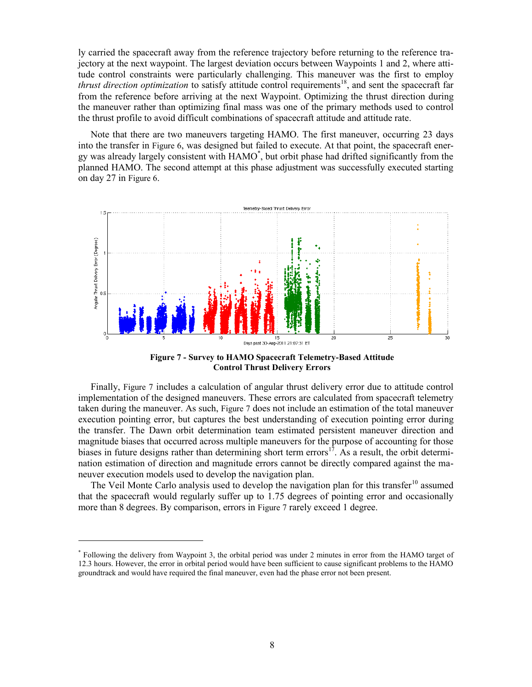ly carried the spacecraft away from the reference trajectory before returning to the reference trajectory at the next waypoint. The largest deviation occurs between Waypoints 1 and 2, where attitude control constraints were particularly challenging. This maneuver was the first to employ *thrust direction optimization* to satisfy attitude control requirements<sup>18</sup>, and sent the spacecraft far from the reference before arriving at the next Waypoint. Optimizing the thrust direction during the maneuver rather than optimizing final mass was one of the primary methods used to control the thrust profile to avoid difficult combinations of spacecraft attitude and attitude rate.

Note that there are two maneuvers targeting HAMO. The first maneuver, occurring 23 days into the transfer in [Figure 6](#page-6-1), was designed but failed to execute. At that point, the spacecraft energy was already largely consistent with HAMO\* , but orbit phase had drifted significantly from the planned HAMO. The second attempt at this phase adjustment was successfully executed starting on day 27 in [Figure 6](#page-6-1).



**Figure 7 - Survey to HAMO Spacecraft Telemetry-Based Attitude Control Thrust Delivery Errors** 

<span id="page-7-0"></span>Finally, [Figure 7](#page-7-0) includes a calculation of angular thrust delivery error due to attitude control implementation of the designed maneuvers. These errors are calculated from spacecraft telemetry taken during the maneuver. As such, [Figure 7](#page-7-0) does not include an estimation of the total maneuver execution pointing error, but captures the best understanding of execution pointing error during the transfer. The Dawn orbit determination team estimated persistent maneuver direction and magnitude biases that occurred across multiple maneuvers for the purpose of accounting for those biases in future designs rather than determining short term errors<sup>17</sup>. As a result, the orbit determination estimation of direction and magnitude errors cannot be directly compared against the maneuver execution models used to develop the navigation plan.

The Veil Monte Carlo analysis used to develop the navigation plan for this transfer<sup>10</sup> assumed that the spacecraft would regularly suffer up to 1.75 degrees of pointing error and occasionally more than 8 degrees. By comparison, errors in [Figure 7](#page-7-0) rarely exceed 1 degree.

<sup>\*</sup> Following the delivery from Waypoint 3, the orbital period was under 2 minutes in error from the HAMO target of 12.3 hours. However, the error in orbital period would have been sufficient to cause significant problems to the HAMO groundtrack and would have required the final maneuver, even had the phase error not been present.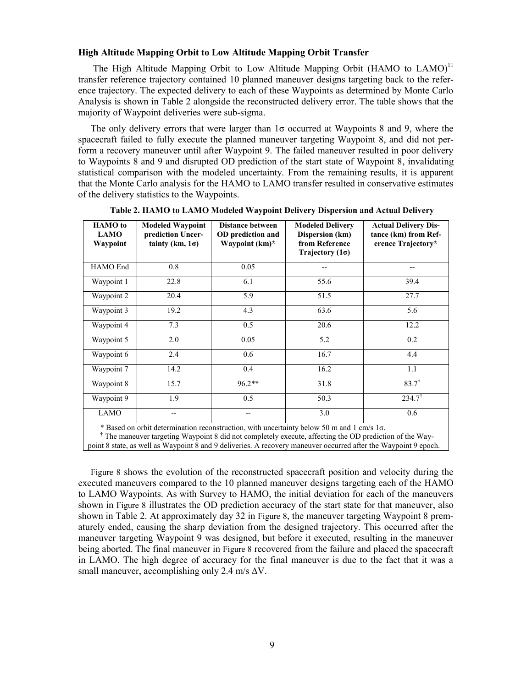# **High Altitude Mapping Orbit to Low Altitude Mapping Orbit Transfer**

The High Altitude Mapping Orbit to Low Altitude Mapping Orbit (HAMO to  $LAMO$ )<sup>11</sup> transfer reference trajectory contained 10 planned maneuver designs targeting back to the reference trajectory. The expected delivery to each of these Waypoints as determined by Monte Carlo Analysis is shown in [Table 2](#page-8-0) alongside the reconstructed delivery error. The table shows that the majority of Waypoint deliveries were sub-sigma.

The only delivery errors that were larger than  $1\sigma$  occurred at Waypoints 8 and 9, where the spacecraft failed to fully execute the planned maneuver targeting Waypoint 8, and did not perform a recovery maneuver until after Waypoint 9. The failed maneuver resulted in poor delivery to Waypoints 8 and 9 and disrupted OD prediction of the start state of Waypoint 8, invalidating statistical comparison with the modeled uncertainty. From the remaining results, it is apparent that the Monte Carlo analysis for the HAMO to LAMO transfer resulted in conservative estimates of the delivery statistics to the Waypoints.

<span id="page-8-0"></span>

| <b>HAMO</b> to<br><b>LAMO</b><br>Waypoint                                                                                                                                                                                           | <b>Modeled Waypoint</b><br>prediction Uncer-<br>tainty (km, $1\sigma$ ) | <b>Distance between</b><br>OD prediction and<br>Waypoint (km)* | <b>Modeled Delivery</b><br>Dispersion (km)<br>from Reference<br>Trajectory $(1\sigma)$ | <b>Actual Delivery Dis-</b><br>tance (km) from Ref-<br>erence Trajectory* |
|-------------------------------------------------------------------------------------------------------------------------------------------------------------------------------------------------------------------------------------|-------------------------------------------------------------------------|----------------------------------------------------------------|----------------------------------------------------------------------------------------|---------------------------------------------------------------------------|
| HAMO End                                                                                                                                                                                                                            | 0.8                                                                     | 0.05                                                           |                                                                                        | --                                                                        |
| Waypoint 1                                                                                                                                                                                                                          | 22.8                                                                    | 6.1                                                            | 55.6                                                                                   | 39.4                                                                      |
| Waypoint 2                                                                                                                                                                                                                          | 20.4                                                                    | 5.9                                                            | 51.5                                                                                   | 27.7                                                                      |
| Waypoint 3                                                                                                                                                                                                                          | 19.2                                                                    | 4.3                                                            | 63.6                                                                                   | 5.6                                                                       |
| Waypoint 4                                                                                                                                                                                                                          | 7.3                                                                     | 0.5                                                            | 20.6                                                                                   | 12.2                                                                      |
| Waypoint 5                                                                                                                                                                                                                          | 2.0                                                                     | 0.05                                                           | 5.2                                                                                    | 0.2                                                                       |
| Waypoint 6                                                                                                                                                                                                                          | 2.4                                                                     | 0.6                                                            | 16.7                                                                                   | 4.4                                                                       |
| Waypoint 7                                                                                                                                                                                                                          | 14.2                                                                    | 0.4                                                            | 16.2                                                                                   | 1.1                                                                       |
| Waypoint 8                                                                                                                                                                                                                          | 15.7                                                                    | $96.2**$                                                       | 31.8                                                                                   | $83.7^{\dagger}$                                                          |
| Waypoint 9                                                                                                                                                                                                                          | 1.9                                                                     | 0.5                                                            | 50.3                                                                                   | $234.7^{\dagger}$                                                         |
| <b>LAMO</b>                                                                                                                                                                                                                         |                                                                         |                                                                | 3.0                                                                                    | 0.6                                                                       |
| * Based on orbit determination reconstruction, with uncertainty below 50 m and 1 cm/s 1 $\sigma$ .<br>$+$ and $-$<br>a status contracted and contracted and the contracted and the contracted and the contracted and the contracted |                                                                         |                                                                |                                                                                        |                                                                           |

**Table 2. HAMO to LAMO Modeled Waypoint Delivery Dispersion and Actual Delivery** 

**†** The maneuver targeting Waypoint 8 did not completely execute, affecting the OD prediction of the Waypoint 8 state, as well as Waypoint 8 and 9 deliveries. A recovery maneuver occurred after the Waypoint 9 epoch.

[Figure 8](#page-9-0) shows the evolution of the reconstructed spacecraft position and velocity during the executed maneuvers compared to the 10 planned maneuver designs targeting each of the HAMO to LAMO Waypoints. As with Survey to HAMO, the initial deviation for each of the maneuvers shown in [Figure 8](#page-9-0) illustrates the OD prediction accuracy of the start state for that maneuver, also shown in [Table 2.](#page-8-0) At approximately day 32 in [Figure 8](#page-9-0), the maneuver targeting Waypoint 8 prematurely ended, causing the sharp deviation from the designed trajectory. This occurred after the maneuver targeting Waypoint 9 was designed, but before it executed, resulting in the maneuver being aborted. The final maneuver in [Figure 8](#page-9-0) recovered from the failure and placed the spacecraft in LAMO. The high degree of accuracy for the final maneuver is due to the fact that it was a small maneuver, accomplishing only 2.4 m/s  $\Delta V$ .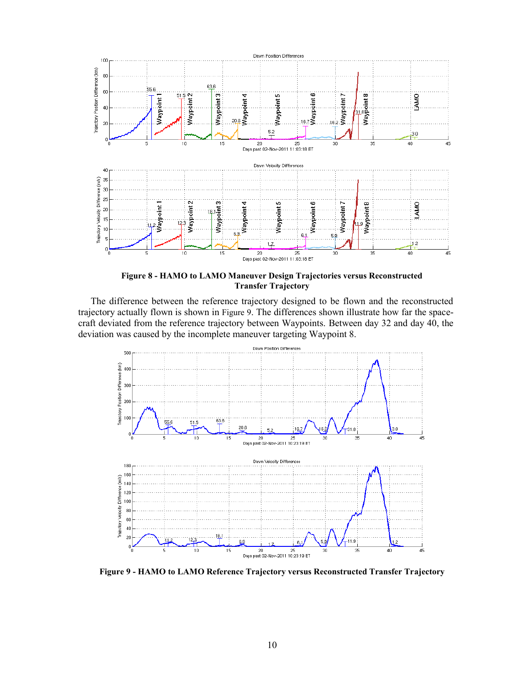

**Figure 8 - HAMO to LAMO Maneuver Design Trajectories versus Reconstructed Transfer Trajectory** 

<span id="page-9-0"></span>The difference between the reference trajectory designed to be flown and the reconstructed trajectory actually flown is shown in [Figure 9](#page-9-1). The differences shown illustrate how far the spacecraft deviated from the reference trajectory between Waypoints. Between day 32 and day 40, the deviation was caused by the incomplete maneuver targeting Waypoint 8.



<span id="page-9-1"></span>**Figure 9 - HAMO to LAMO Reference Trajectory versus Reconstructed Transfer Trajectory**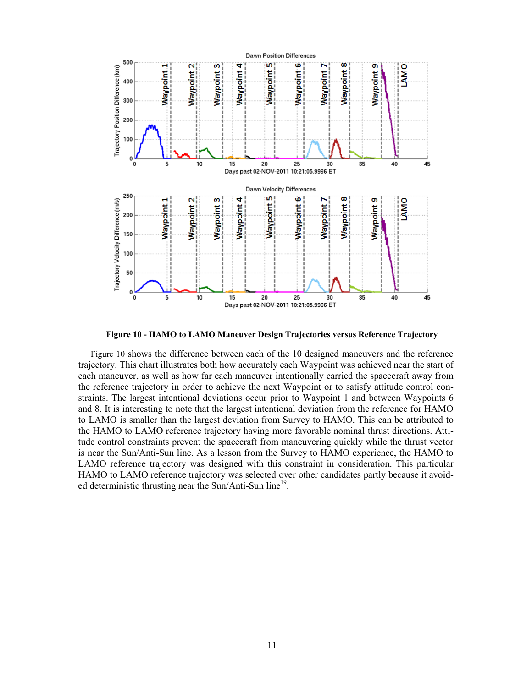

**Figure 10 - HAMO to LAMO Maneuver Design Trajectories versus Reference Trajectory** 

<span id="page-10-0"></span>[Figure 10](#page-10-0) shows the difference between each of the 10 designed maneuvers and the reference trajectory. This chart illustrates both how accurately each Waypoint was achieved near the start of each maneuver, as well as how far each maneuver intentionally carried the spacecraft away from the reference trajectory in order to achieve the next Waypoint or to satisfy attitude control constraints. The largest intentional deviations occur prior to Waypoint 1 and between Waypoints 6 and 8. It is interesting to note that the largest intentional deviation from the reference for HAMO to LAMO is smaller than the largest deviation from Survey to HAMO. This can be attributed to the HAMO to LAMO reference trajectory having more favorable nominal thrust directions. Attitude control constraints prevent the spacecraft from maneuvering quickly while the thrust vector is near the Sun/Anti-Sun line. As a lesson from the Survey to HAMO experience, the HAMO to LAMO reference trajectory was designed with this constraint in consideration. This particular HAMO to LAMO reference trajectory was selected over other candidates partly because it avoided deterministic thrusting near the Sun/Anti-Sun line<sup>19</sup>.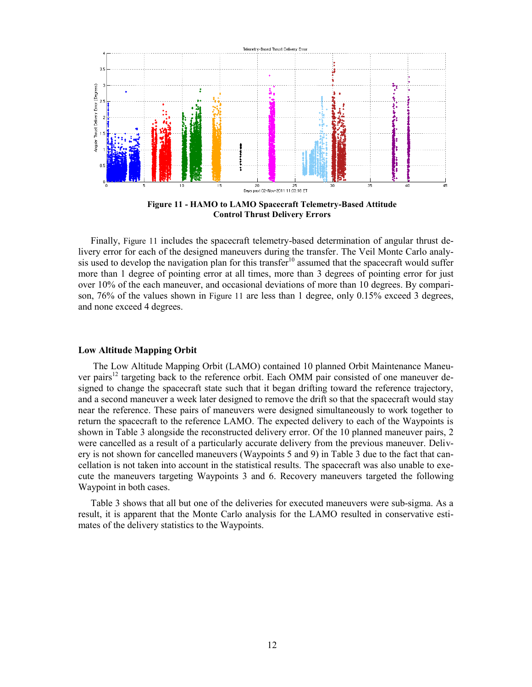

**Figure 11 - HAMO to LAMO Spacecraft Telemetry-Based Attitude Control Thrust Delivery Errors** 

<span id="page-11-0"></span>Finally, [Figure 11](#page-11-0) includes the spacecraft telemetry-based determination of angular thrust delivery error for each of the designed maneuvers during the transfer. The Veil Monte Carlo analysis used to develop the navigation plan for this transfer<sup>10</sup> assumed that the spacecraft would suffer more than 1 degree of pointing error at all times, more than 3 degrees of pointing error for just over 10% of the each maneuver, and occasional deviations of more than 10 degrees. By comparison, 76% of the values shown in [Figure 11](#page-11-0) are less than 1 degree, only 0.15% exceed 3 degrees, and none exceed 4 degrees.

# **Low Altitude Mapping Orbit**

The Low Altitude Mapping Orbit (LAMO) contained 10 planned Orbit Maintenance Maneuver pairs<sup>12</sup> targeting back to the reference orbit. Each OMM pair consisted of one maneuver designed to change the spacecraft state such that it began drifting toward the reference trajectory, and a second maneuver a week later designed to remove the drift so that the spacecraft would stay near the reference. These pairs of maneuvers were designed simultaneously to work together to return the spacecraft to the reference LAMO. The expected delivery to each of the Waypoints is shown in [Table 3](#page-12-0) alongside the reconstructed delivery error. Of the 10 planned maneuver pairs, 2 were cancelled as a result of a particularly accurate delivery from the previous maneuver. Delivery is not shown for cancelled maneuvers (Waypoints 5 and 9) in [Table 3](#page-12-0) due to the fact that cancellation is not taken into account in the statistical results. The spacecraft was also unable to execute the maneuvers targeting Waypoints 3 and 6. Recovery maneuvers targeted the following Waypoint in both cases.

[Table 3](#page-12-0) shows that all but one of the deliveries for executed maneuvers were sub-sigma. As a result, it is apparent that the Monte Carlo analysis for the LAMO resulted in conservative estimates of the delivery statistics to the Waypoints.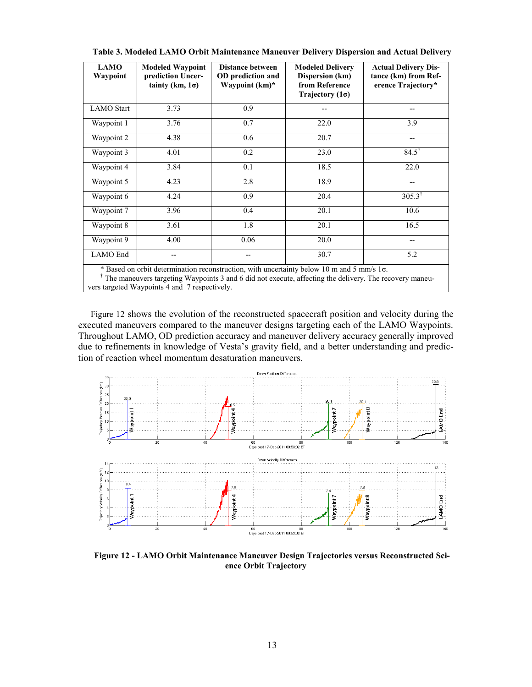<span id="page-12-0"></span>

| <b>LAMO</b><br>Waypoint | <b>Modeled Waypoint</b><br>prediction Uncer-<br>tainty (km, $1\sigma$ ) | <b>Distance between</b><br>OD prediction and<br>Waypoint (km)* | <b>Modeled Delivery</b><br>Dispersion (km)<br>from Reference<br>Trajectory $(1\sigma)$                        | <b>Actual Delivery Dis-</b><br>tance (km) from Ref-<br>erence Trajectory* |
|-------------------------|-------------------------------------------------------------------------|----------------------------------------------------------------|---------------------------------------------------------------------------------------------------------------|---------------------------------------------------------------------------|
| <b>LAMO</b> Start       | 3.73                                                                    | 0.9                                                            | --                                                                                                            |                                                                           |
| Waypoint 1              | 3.76                                                                    | 0.7                                                            | 22.0                                                                                                          | 3.9                                                                       |
| Waypoint 2              | 4.38                                                                    | 0.6                                                            | 20.7                                                                                                          |                                                                           |
| Waypoint 3              | 4.01                                                                    | 0.2                                                            | 23.0                                                                                                          | $84.5^{\dagger}$                                                          |
| Waypoint 4              | 3.84                                                                    | 0.1                                                            | 18.5                                                                                                          | 22.0                                                                      |
| Waypoint 5              | 4.23                                                                    | 2.8                                                            | 18.9                                                                                                          | --                                                                        |
| Waypoint 6              | 4.24                                                                    | 0.9                                                            | 20.4                                                                                                          | $305.3^{\dagger}$                                                         |
| Waypoint 7              | 3.96                                                                    | 0.4                                                            | 20.1                                                                                                          | 10.6                                                                      |
| Waypoint 8              | 3.61                                                                    | 1.8                                                            | 20.1                                                                                                          | 16.5                                                                      |
| Waypoint 9              | 4.00                                                                    | 0.06                                                           | 20.0                                                                                                          | --                                                                        |
| LAMO End                |                                                                         |                                                                | 30.7<br>$\star$ Dead on orbital determination as construction with consentations below. 10 as and 5 annul 1 = | 5.2                                                                       |

**Table 3. Modeled LAMO Orbit Maintenance Maneuver Delivery Dispersion and Actual Delivery** 

Based on orbit determination reconstruction, with uncertainty below 10 m and 5 mm/s 1σ.

**†** The maneuvers targeting Waypoints 3 and 6 did not execute, affecting the delivery. The recovery maneuvers targeted Waypoints 4 and 7 respectively.

[Figure 12](#page-12-1) shows the evolution of the reconstructed spacecraft position and velocity during the executed maneuvers compared to the maneuver designs targeting each of the LAMO Waypoints. Throughout LAMO, OD prediction accuracy and maneuver delivery accuracy generally improved due to refinements in knowledge of Vesta's gravity field, and a better understanding and prediction of reaction wheel momentum desaturation maneuvers.



<span id="page-12-1"></span>**Figure 12 - LAMO Orbit Maintenance Maneuver Design Trajectories versus Reconstructed Science Orbit Trajectory**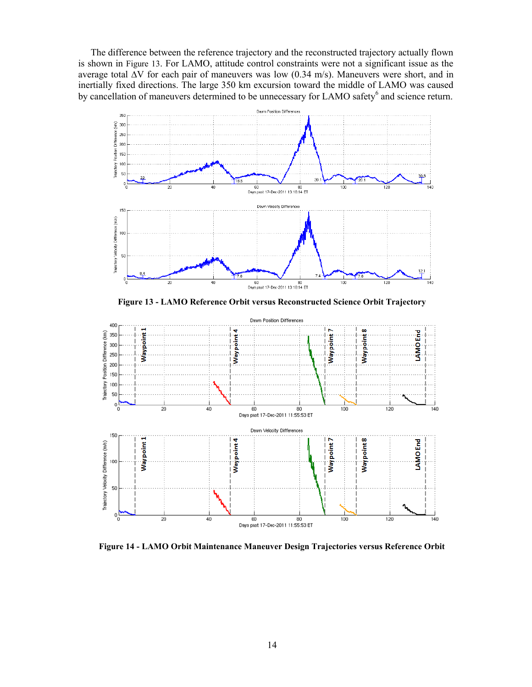The difference between the reference trajectory and the reconstructed trajectory actually flown is shown in [Figure 13](#page-13-0). For LAMO, attitude control constraints were not a significant issue as the average total ∆V for each pair of maneuvers was low (0.34 m/s). Maneuvers were short, and in inertially fixed directions. The large 350 km excursion toward the middle of LAMO was caused by cancellation of maneuvers determined to be unnecessary for LAMO safety<sup>6</sup> and science return.



**Figure 13 - LAMO Reference Orbit versus Reconstructed Science Orbit Trajectory** 

<span id="page-13-0"></span>

<span id="page-13-1"></span>**Figure 14 - LAMO Orbit Maintenance Maneuver Design Trajectories versus Reference Orbit**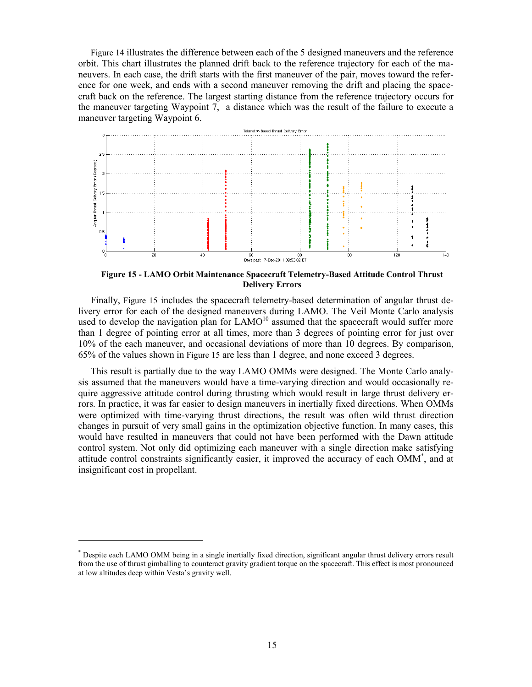[Figure 14](#page-13-1) illustrates the difference between each of the 5 designed maneuvers and the reference orbit. This chart illustrates the planned drift back to the reference trajectory for each of the maneuvers. In each case, the drift starts with the first maneuver of the pair, moves toward the reference for one week, and ends with a second maneuver removing the drift and placing the spacecraft back on the reference. The largest starting distance from the reference trajectory occurs for the maneuver targeting Waypoint 7, a distance which was the result of the failure to execute a maneuver targeting Waypoint 6.



<span id="page-14-0"></span>**Figure 15 - LAMO Orbit Maintenance Spacecraft Telemetry-Based Attitude Control Thrust Delivery Errors** 

Finally, [Figure 15](#page-14-0) includes the spacecraft telemetry-based determination of angular thrust delivery error for each of the designed maneuvers during LAMO. The Veil Monte Carlo analysis used to develop the navigation plan for  $LAMO<sup>10</sup>$  assumed that the spacecraft would suffer more than 1 degree of pointing error at all times, more than 3 degrees of pointing error for just over 10% of the each maneuver, and occasional deviations of more than 10 degrees. By comparison, 65% of the values shown in [Figure 15](#page-14-0) are less than 1 degree, and none exceed 3 degrees.

This result is partially due to the way LAMO OMMs were designed. The Monte Carlo analysis assumed that the maneuvers would have a time-varying direction and would occasionally require aggressive attitude control during thrusting which would result in large thrust delivery errors. In practice, it was far easier to design maneuvers in inertially fixed directions. When OMMs were optimized with time-varying thrust directions, the result was often wild thrust direction changes in pursuit of very small gains in the optimization objective function. In many cases, this would have resulted in maneuvers that could not have been performed with the Dawn attitude control system. Not only did optimizing each maneuver with a single direction make satisfying attitude control constraints significantly easier, it improved the accuracy of each OMM\* , and at insignificant cost in propellant.

<sup>\*</sup> Despite each LAMO OMM being in a single inertially fixed direction, significant angular thrust delivery errors result from the use of thrust gimballing to counteract gravity gradient torque on the spacecraft. This effect is most pronounced at low altitudes deep within Vesta's gravity well.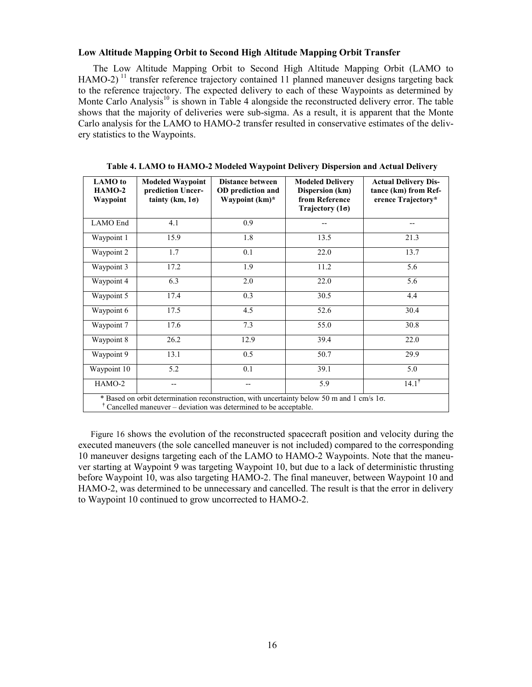# **Low Altitude Mapping Orbit to Second High Altitude Mapping Orbit Transfer**

The Low Altitude Mapping Orbit to Second High Altitude Mapping Orbit (LAMO to HAMO-2)<sup>11</sup> transfer reference trajectory contained 11 planned maneuver designs targeting back to the reference trajectory. The expected delivery to each of these Waypoints as determined by Monte Carlo Analysis<sup>10</sup> is shown in [Table 4](#page-15-0) alongside the reconstructed delivery error. The table shows that the majority of deliveries were sub-sigma. As a result, it is apparent that the Monte Carlo analysis for the LAMO to HAMO-2 transfer resulted in conservative estimates of the delivery statistics to the Waypoints.

<span id="page-15-0"></span>

| <b>LAMO</b> to<br>$HAMO-2$<br>Waypoint                                                                                                                                 | <b>Modeled Waypoint</b><br>prediction Uncer-<br>tainty (km, $1\sigma$ ) | Distance between<br>OD prediction and<br>Waypoint (km)* | <b>Modeled Delivery</b><br>Dispersion (km)<br>from Reference<br>Trajectory $(1\sigma)$ | <b>Actual Delivery Dis-</b><br>tance (km) from Ref-<br>erence Trajectory* |
|------------------------------------------------------------------------------------------------------------------------------------------------------------------------|-------------------------------------------------------------------------|---------------------------------------------------------|----------------------------------------------------------------------------------------|---------------------------------------------------------------------------|
| LAMO End                                                                                                                                                               | 4.1                                                                     | 0.9                                                     | --                                                                                     | $-$                                                                       |
| Waypoint 1                                                                                                                                                             | 15.9                                                                    | 1.8                                                     | 13.5                                                                                   | 21.3                                                                      |
| Waypoint 2                                                                                                                                                             | 1.7                                                                     | 0.1                                                     | 22.0                                                                                   | 13.7                                                                      |
| Waypoint 3                                                                                                                                                             | 17.2                                                                    | 1.9                                                     | 11.2                                                                                   | $\overline{5.6}$                                                          |
| Waypoint 4                                                                                                                                                             | 6.3                                                                     | 2.0                                                     | 22.0                                                                                   | 5.6                                                                       |
| Waypoint 5                                                                                                                                                             | 17.4                                                                    | 0.3                                                     | 30.5                                                                                   | 4.4                                                                       |
| Waypoint 6                                                                                                                                                             | 17.5                                                                    | 4.5                                                     | 52.6                                                                                   | 30.4                                                                      |
| Waypoint 7                                                                                                                                                             | 17.6                                                                    | 7.3                                                     | 55.0                                                                                   | 30.8                                                                      |
| Waypoint 8                                                                                                                                                             | 26.2                                                                    | 12.9                                                    | 39.4                                                                                   | 22.0                                                                      |
| Waypoint 9                                                                                                                                                             | 13.1                                                                    | 0.5                                                     | 50.7                                                                                   | 29.9                                                                      |
| Waypoint 10                                                                                                                                                            | 5.2                                                                     | 0.1                                                     | 39.1                                                                                   | 5.0                                                                       |
| HAMO-2                                                                                                                                                                 | --                                                                      |                                                         | $\overline{5.9}$                                                                       | $14.1^{\dagger}$                                                          |
| * Based on orbit determination reconstruction, with uncertainty below 50 m and 1 cm/s 1o.<br>$\dagger$ Cancelled maneuver – deviation was determined to be acceptable. |                                                                         |                                                         |                                                                                        |                                                                           |

**Table 4. LAMO to HAMO-2 Modeled Waypoint Delivery Dispersion and Actual Delivery** 

[Figure 16](#page-16-0) shows the evolution of the reconstructed spacecraft position and velocity during the executed maneuvers (the sole cancelled maneuver is not included) compared to the corresponding 10 maneuver designs targeting each of the LAMO to HAMO-2 Waypoints. Note that the maneuver starting at Waypoint 9 was targeting Waypoint 10, but due to a lack of deterministic thrusting before Waypoint 10, was also targeting HAMO-2. The final maneuver, between Waypoint 10 and HAMO-2, was determined to be unnecessary and cancelled. The result is that the error in delivery to Waypoint 10 continued to grow uncorrected to HAMO-2.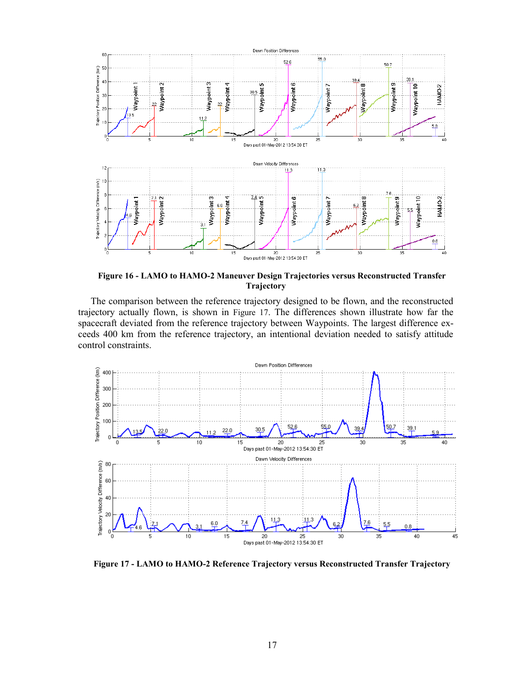

<span id="page-16-0"></span>**Figure 16 - LAMO to HAMO-2 Maneuver Design Trajectories versus Reconstructed Transfer Trajectory** 

The comparison between the reference trajectory designed to be flown, and the reconstructed trajectory actually flown, is shown in [Figure 17](#page-16-1). The differences shown illustrate how far the spacecraft deviated from the reference trajectory between Waypoints. The largest difference exceeds 400 km from the reference trajectory, an intentional deviation needed to satisfy attitude control constraints.



<span id="page-16-1"></span>**Figure 17 - LAMO to HAMO-2 Reference Trajectory versus Reconstructed Transfer Trajectory**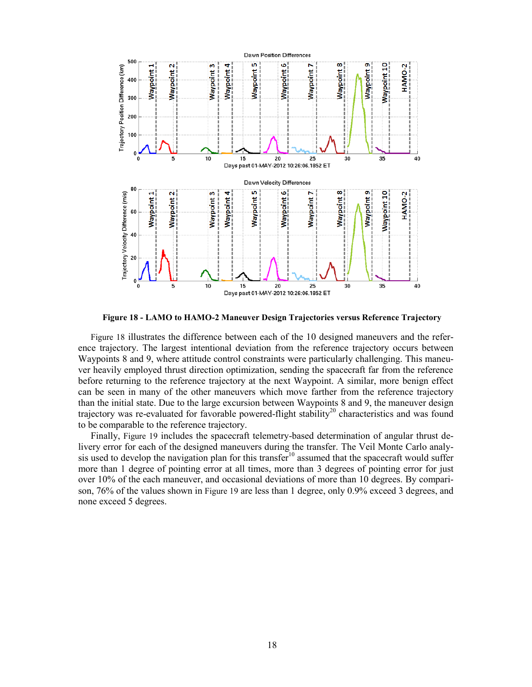

**Figure 18 - LAMO to HAMO-2 Maneuver Design Trajectories versus Reference Trajectory** 

<span id="page-17-0"></span>[Figure 18](#page-17-0) illustrates the difference between each of the 10 designed maneuvers and the reference trajectory. The largest intentional deviation from the reference trajectory occurs between Waypoints 8 and 9, where attitude control constraints were particularly challenging. This maneuver heavily employed thrust direction optimization, sending the spacecraft far from the reference before returning to the reference trajectory at the next Waypoint. A similar, more benign effect can be seen in many of the other maneuvers which move farther from the reference trajectory than the initial state. Due to the large excursion between Waypoints 8 and 9, the maneuver design trajectory was re-evaluated for favorable powered-flight stability<sup>20</sup> characteristics and was found to be comparable to the reference trajectory.

Finally, [Figure 19](#page-18-0) includes the spacecraft telemetry-based determination of angular thrust delivery error for each of the designed maneuvers during the transfer. The Veil Monte Carlo analysis used to develop the navigation plan for this transfer<sup>10</sup> assumed that the spacecraft would suffer more than 1 degree of pointing error at all times, more than 3 degrees of pointing error for just over 10% of the each maneuver, and occasional deviations of more than 10 degrees. By comparison, 76% of the values shown in [Figure 19](#page-18-0) are less than 1 degree, only 0.9% exceed 3 degrees, and none exceed 5 degrees.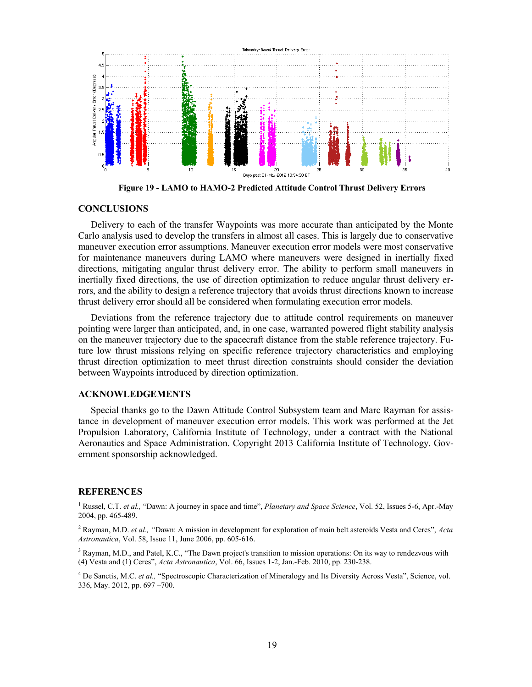

**Figure 19 - LAMO to HAMO-2 Predicted Attitude Control Thrust Delivery Errors** 

#### <span id="page-18-0"></span>**CONCLUSIONS**

Delivery to each of the transfer Waypoints was more accurate than anticipated by the Monte Carlo analysis used to develop the transfers in almost all cases. This is largely due to conservative maneuver execution error assumptions. Maneuver execution error models were most conservative for maintenance maneuvers during LAMO where maneuvers were designed in inertially fixed directions, mitigating angular thrust delivery error. The ability to perform small maneuvers in inertially fixed directions, the use of direction optimization to reduce angular thrust delivery errors, and the ability to design a reference trajectory that avoids thrust directions known to increase thrust delivery error should all be considered when formulating execution error models.

Deviations from the reference trajectory due to attitude control requirements on maneuver pointing were larger than anticipated, and, in one case, warranted powered flight stability analysis on the maneuver trajectory due to the spacecraft distance from the stable reference trajectory. Future low thrust missions relying on specific reference trajectory characteristics and employing thrust direction optimization to meet thrust direction constraints should consider the deviation between Waypoints introduced by direction optimization.

#### **ACKNOWLEDGEMENTS**

Special thanks go to the Dawn Attitude Control Subsystem team and Marc Rayman for assistance in development of maneuver execution error models. This work was performed at the Jet Propulsion Laboratory, California Institute of Technology, under a contract with the National Aeronautics and Space Administration. Copyright 2013 California Institute of Technology. Government sponsorship acknowledged.

### **REFERENCES**

<sup>1</sup> Russel, C.T. *et al.*, "Dawn: A journey in space and time", *Planetary and Space Science*, Vol. 52, Issues 5-6, Apr.-May 2004, pp. 465-489.

2 Rayman, M.D. *et al., "*Dawn: A mission in development for exploration of main belt asteroids Vesta and Ceres", *Acta Astronautica*, Vol. 58, Issue 11, June 2006, pp. 605-616.

<sup>3</sup> Rayman, M.D., and Patel, K.C., "The Dawn project's transition to mission operations: On its way to rendezvous with (4) Vesta and (1) Ceres", *Acta Astronautica*, Vol. 66, Issues 1-2, Jan.-Feb. 2010, pp. 230-238.

<sup>4</sup> De Sanctis, M.C. et al., "Spectroscopic Characterization of Mineralogy and Its Diversity Across Vesta", Science, vol. 336, May. 2012, pp. 697 –700.